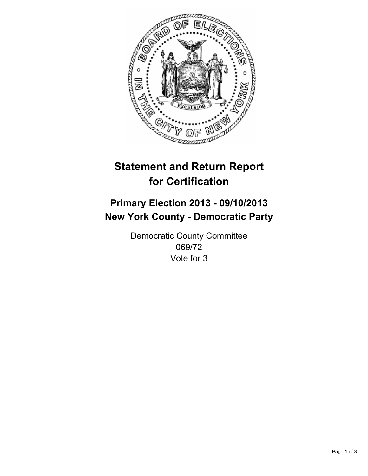

# **Statement and Return Report for Certification**

# **Primary Election 2013 - 09/10/2013 New York County - Democratic Party**

Democratic County Committee 069/72 Vote for 3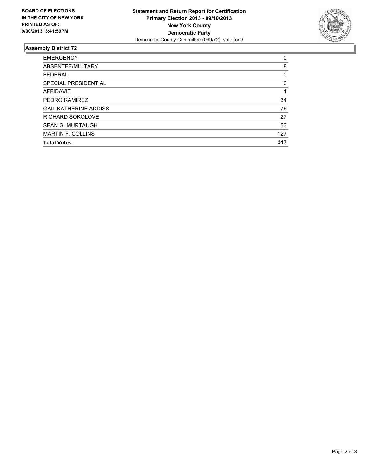

## **Assembly District 72**

| <b>EMERGENCY</b>             | 0   |
|------------------------------|-----|
| ABSENTEE/MILITARY            | 8   |
| <b>FEDERAL</b>               | 0   |
| SPECIAL PRESIDENTIAL         | 0   |
| <b>AFFIDAVIT</b>             |     |
| PEDRO RAMIREZ                | 34  |
| <b>GAIL KATHERINE ADDISS</b> | 76  |
| RICHARD SOKOLOVE             | 27  |
| <b>SEAN G. MURTAUGH</b>      | 53  |
| <b>MARTIN F. COLLINS</b>     | 127 |
| <b>Total Votes</b>           | 317 |